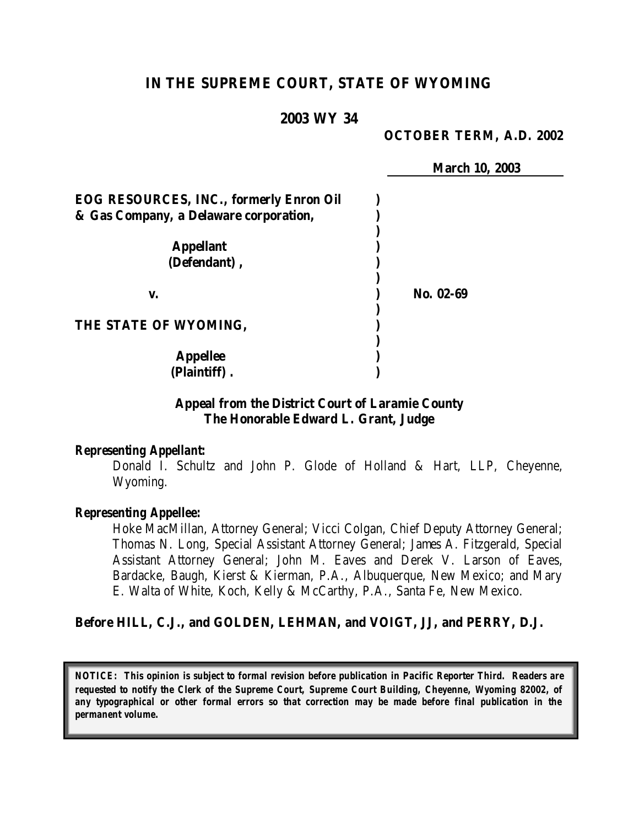# **IN THE SUPREME COURT, STATE OF WYOMING**

# **2003 WY 34**

### **OCTOBER TERM, A.D. 2002**

**March 10, 2003**

| <b>EOG RESOURCES, INC., formerly Enron Oil</b> |           |
|------------------------------------------------|-----------|
| & Gas Company, a Delaware corporation,         |           |
|                                                |           |
| <b>Appellant</b>                               |           |
| (Defendant),                                   |           |
|                                                |           |
| v.                                             | No. 02-69 |
|                                                |           |
| THE STATE OF WYOMING,                          |           |
|                                                |           |
| <b>Appellee</b>                                |           |
| (Plaintiff)                                    |           |

# **Appeal from the District Court of Laramie County The Honorable Edward L. Grant, Judge**

#### *Representing Appellant:*

Donald I. Schultz and John P. Glode of Holland & Hart, LLP, Cheyenne, Wyoming.

#### *Representing Appellee:*

Hoke MacMillan, Attorney General; Vicci Colgan, Chief Deputy Attorney General; Thomas N. Long, Special Assistant Attorney General; James A. Fitzgerald, Special Assistant Attorney General; John M. Eaves and Derek V. Larson of Eaves, Bardacke, Baugh, Kierst & Kierman, P.A., Albuquerque, New Mexico; and Mary E. Walta of White, Koch, Kelly & McCarthy, P.A., Santa Fe, New Mexico.

#### **Before HILL, C.J., and GOLDEN, LEHMAN, and VOIGT, JJ, and PERRY, D.J.**

*NOTICE: This opinion is subject to formal revision before publication in Pacific Reporter Third. Readers are requested to notify the Clerk of the Supreme Court, Supreme Court Building, Cheyenne, Wyoming 82002, of any typographical or other formal errors so that correction may be made before final publication in the permanent volume.*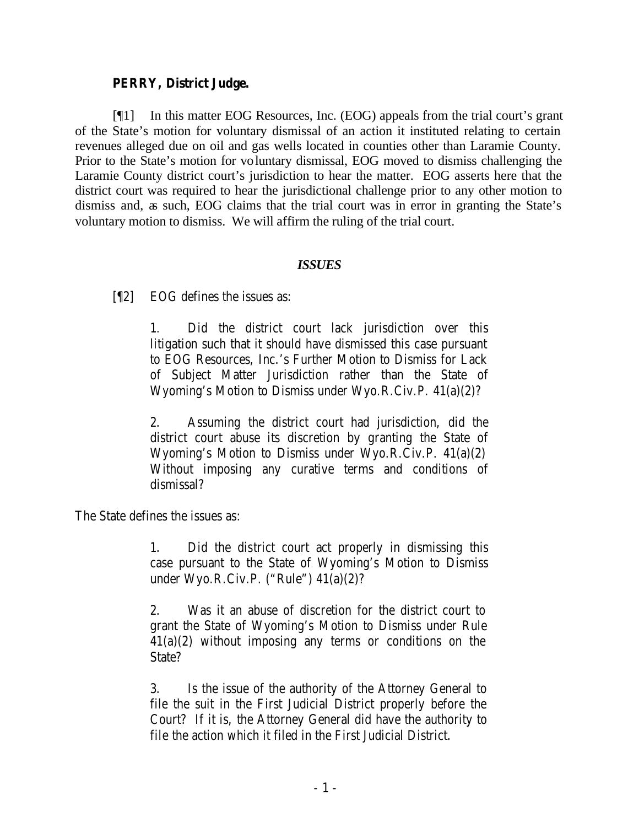## **PERRY, District Judge.**

[¶1] In this matter EOG Resources, Inc. (EOG) appeals from the trial court's grant of the State's motion for voluntary dismissal of an action it instituted relating to certain revenues alleged due on oil and gas wells located in counties other than Laramie County. Prior to the State's motion for voluntary dismissal, EOG moved to dismiss challenging the Laramie County district court's jurisdiction to hear the matter. EOG asserts here that the district court was required to hear the jurisdictional challenge prior to any other motion to dismiss and, as such, EOG claims that the trial court was in error in granting the State's voluntary motion to dismiss. We will affirm the ruling of the trial court.

### *ISSUES*

[¶2] EOG defines the issues as:

1. Did the district court lack jurisdiction over this litigation such that it should have dismissed this case pursuant to EOG Resources, Inc.'s Further Motion to Dismiss for Lack of Subject Matter Jurisdiction rather than the State of Wyoming's Motion to Dismiss under Wyo.R.Civ.P. 41(a)(2)?

2. Assuming the district court had jurisdiction, did the district court abuse its discretion by granting the State of Wyoming's Motion to Dismiss under Wyo.R.Civ.P. 41(a)(2) Without imposing any curative terms and conditions of dismissal?

The State defines the issues as:

1. Did the district court act properly in dismissing this case pursuant to the State of Wyoming's Motion to Dismiss under Wyo.R.Civ.P. ("Rule") 41(a)(2)?

2. Was it an abuse of discretion for the district court to grant the State of Wyoming's Motion to Dismiss under Rule 41(a)(2) without imposing any terms or conditions on the State?

3. Is the issue of the authority of the Attorney General to file the suit in the First Judicial District properly before the Court? If it is, the Attorney General did have the authority to file the action which it filed in the First Judicial District.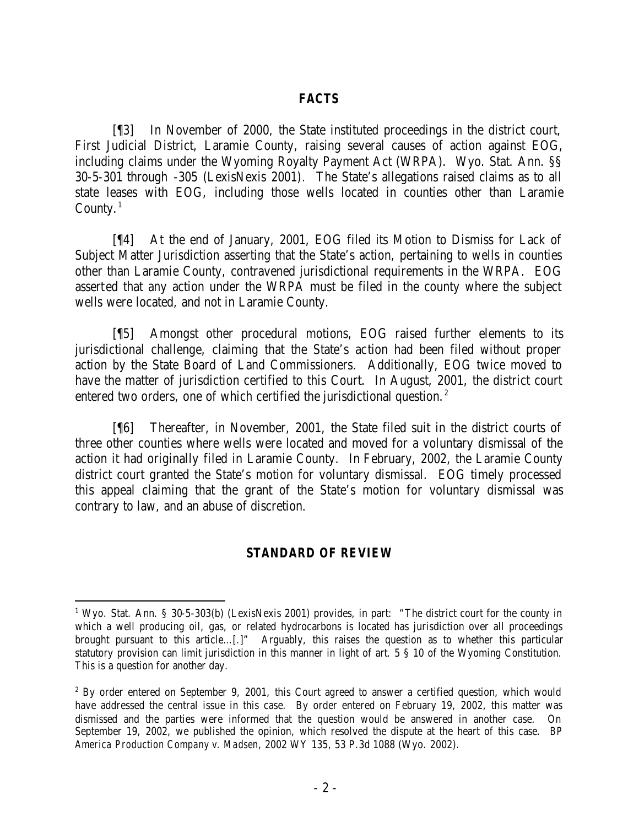### *FACTS*

[¶3] In November of 2000, the State instituted proceedings in the district court, First Judicial District, Laramie County, raising several causes of action against EOG, including claims under the Wyoming Royalty Payment Act (WRPA). Wyo. Stat. Ann. §§ 30-5-301 through -305 (LexisNexis 2001)*.* The State's allegations raised claims as to all state leases with EOG, including those wells located in counties other than Laramie County. $1$ 

[¶4] At the end of January, 2001, EOG filed its Motion to Dismiss for Lack of Subject Matter Jurisdiction asserting that the State's action, pertaining to wells in counties other than Laramie County, contravened jurisdictional requirements in the WRPA. EOG asserted that any action under the WRPA must be filed in the county where the subject wells were located, and not in Laramie County.

[¶5] Amongst other procedural motions, EOG raised further elements to its jurisdictional challenge, claiming that the State's action had been filed without proper action by the State Board of Land Commissioners. Additionally, EOG twice moved to have the matter of jurisdiction certified to this Court. In August, 2001, the district court entered two orders, one of which certified the jurisdictional question.<sup>2</sup>

[¶6] Thereafter, in November, 2001, the State filed suit in the district courts of three other counties where wells were located and moved for a voluntary dismissal of the action it had originally filed in Laramie County. In February, 2002, the Laramie County district court granted the State's motion for voluntary dismissal. EOG timely processed this appeal claiming that the grant of the State's motion for voluntary dismissal was contrary to law, and an abuse of discretion.

## *STANDARD OF REVIEW*

<sup>&</sup>lt;sup>1</sup> Wyo. Stat. Ann. § 30-5-303(b) (LexisNexis 2001) provides, in part: "The district court for the county in which a well producing oil, gas, or related hydrocarbons is located has jurisdiction over all proceedings brought pursuant to this article…[.]" Arguably, this raises the question as to whether this particular statutory provision can limit jurisdiction in this manner in light of art. 5 § 10 of the Wyoming Constitution. This is a question for another day.

<sup>&</sup>lt;sup>2</sup> By order entered on September 9, 2001, this Court agreed to answer a certified question, which would have addressed the central issue in this case. By order entered on February 19, 2002, this matter was dismissed and the parties were informed that the question would be answered in another case. On September 19, 2002, we published the opinion, which resolved the dispute at the heart of this case. *BP America Production Company v. Madsen*, 2002 WY 135, 53 P.3d 1088 (Wyo. 2002).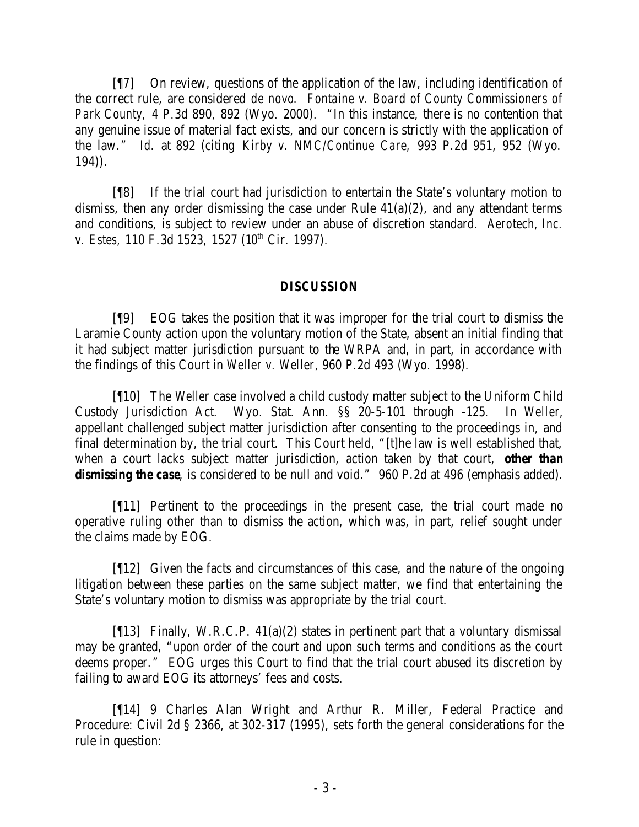[¶7] On review, questions of the application of the law, including identification of the correct rule, are considered *de novo*. *Fontaine v. Board of County Commissioners of Park County,* 4 P.3d 890, 892 (Wyo. 2000). "In this instance, there is no contention that any genuine issue of material fact exists, and our concern is strictly with the application of the law." *Id.* at 892 (citing *Kirby v. NMC/Continue Care,* 993 P.2d 951, 952 (Wyo. 194)).

[¶8] If the trial court had jurisdiction to entertain the State's voluntary motion to dismiss, then any order dismissing the case under Rule  $41(a)(2)$ , and any attendant terms and conditions, is subject to review under an abuse of discretion standard. *Aerotech, Inc. v. Estes,* 110 F.3d 1523, 1527 (10<sup>th</sup> Cir. 1997).

## *DISCUSSION*

[¶9] EOG takes the position that it was improper for the trial court to dismiss the Laramie County action upon the voluntary motion of the State, absent an initial finding that it had subject matter jurisdiction pursuant to the WRPA and, in part, in accordance with the findings of this Court in *Weller v. Weller,* 960 P.2d 493 (Wyo. 1998).

[¶10] The *Weller* case involved a child custody matter subject to the Uniform Child Custody Jurisdiction Act. Wyo. Stat. Ann. §§ 20-5-101 through -125*.* In *Weller*, appellant challenged subject matter jurisdiction after consenting to the proceedings in, and final determination by, the trial court. This Court held, "[t]he law is well established that, when a court lacks subject matter jurisdiction, action taken by that court, *other than* dismissing the case, is considered to be null and void." 960 P.2d at 496 (emphasis added).

[¶11] Pertinent to the proceedings in the present case, the trial court made no operative ruling other than to dismiss the action, which was, in part, relief sought under the claims made by EOG.

[¶12] Given the facts and circumstances of this case, and the nature of the ongoing litigation between these parties on the same subject matter, we find that entertaining the State's voluntary motion to dismiss was appropriate by the trial court.

[¶13] Finally, W.R.C.P. 41(a)(2) states in pertinent part that a voluntary dismissal may be granted, "upon order of the court and upon such terms and conditions as the court deems proper." EOG urges this Court to find that the trial court abused its discretion by failing to award EOG its attorneys' fees and costs.

[¶14] 9 Charles Alan Wright and Arthur R. Miller, Federal Practice and Procedure: Civil 2d § 2366, at 302-317 (1995), sets forth the general considerations for the rule in question: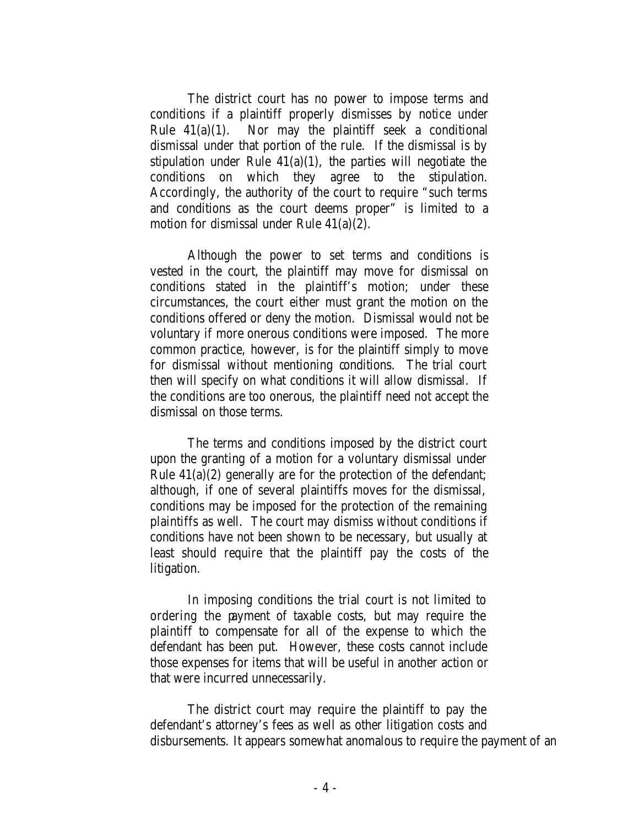The district court has no power to impose terms and conditions if a plaintiff properly dismisses by notice under Rule  $41(a)(1)$ . Nor may the plaintiff seek a conditional dismissal under that portion of the rule. If the dismissal is by stipulation under Rule  $41(a)(1)$ , the parties will negotiate the conditions on which they agree to the stipulation. Accordingly, the authority of the court to require "such terms and conditions as the court deems proper" is limited to a motion for dismissal under Rule 41(a)(2).

Although the power to set terms and conditions is vested in the court, the plaintiff may move for dismissal on conditions stated in the plaintiff's motion; under these circumstances, the court either must grant the motion on the conditions offered or deny the motion. Dismissal would not be voluntary if more onerous conditions were imposed. The more common practice, however, is for the plaintiff simply to move for dismissal without mentioning conditions. The trial court then will specify on what conditions it will allow dismissal. If the conditions are too onerous, the plaintiff need not accept the dismissal on those terms.

The terms and conditions imposed by the district court upon the granting of a motion for a voluntary dismissal under Rule  $41(a)(2)$  generally are for the protection of the defendant; although, if one of several plaintiffs moves for the dismissal, conditions may be imposed for the protection of the remaining plaintiffs as well. The court may dismiss without conditions if conditions have not been shown to be necessary, but usually at least should require that the plaintiff pay the costs of the litigation.

In imposing conditions the trial court is not limited to ordering the payment of taxable costs, but may require the plaintiff to compensate for all of the expense to which the defendant has been put. However, these costs cannot include those expenses for items that will be useful in another action or that were incurred unnecessarily.

The district court may require the plaintiff to pay the defendant's attorney's fees as well as other litigation costs and disbursements. It appears somewhat anomalous to require the payment of an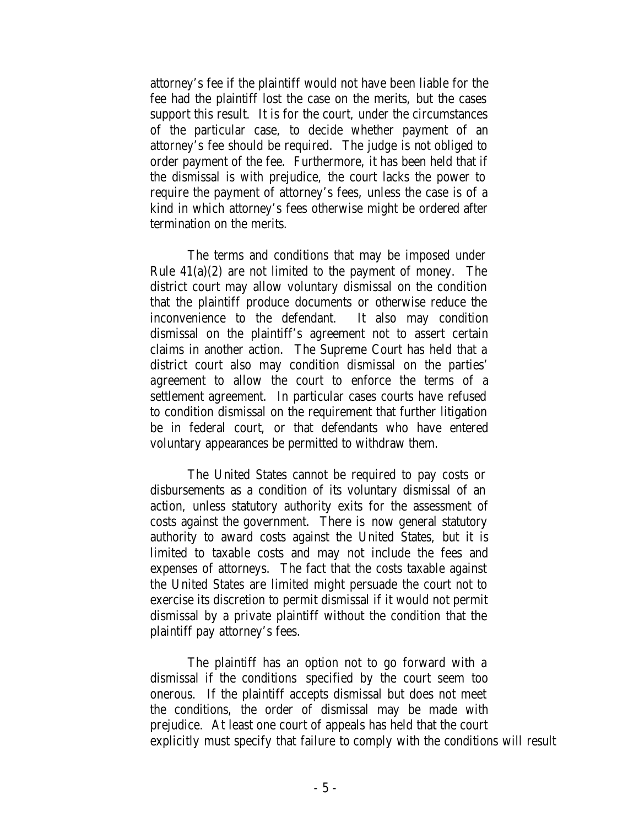attorney's fee if the plaintiff would not have been liable for the fee had the plaintiff lost the case on the merits, but the cases support this result. It is for the court, under the circumstances of the particular case, to decide whether payment of an attorney's fee should be required. The judge is not obliged to order payment of the fee. Furthermore, it has been held that if the dismissal is with prejudice, the court lacks the power to require the payment of attorney's fees, unless the case is of a kind in which attorney's fees otherwise might be ordered after termination on the merits.

The terms and conditions that may be imposed under Rule  $41(a)(2)$  are not limited to the payment of money. The district court may allow voluntary dismissal on the condition that the plaintiff produce documents or otherwise reduce the inconvenience to the defendant. It also may condition dismissal on the plaintiff's agreement not to assert certain claims in another action. The Supreme Court has held that a district court also may condition dismissal on the parties' agreement to allow the court to enforce the terms of a settlement agreement. In particular cases courts have refused to condition dismissal on the requirement that further litigation be in federal court, or that defendants who have entered voluntary appearances be permitted to withdraw them.

The United States cannot be required to pay costs or disbursements as a condition of its voluntary dismissal of an action, unless statutory authority exits for the assessment of costs against the government. There is now general statutory authority to award costs against the United States, but it is limited to taxable costs and may not include the fees and expenses of attorneys. The fact that the costs taxable against the United States are limited might persuade the court not to exercise its discretion to permit dismissal if it would not permit dismissal by a private plaintiff without the condition that the plaintiff pay attorney's fees.

The plaintiff has an option not to go forward with a dismissal if the conditions specified by the court seem too onerous. If the plaintiff accepts dismissal but does not meet the conditions, the order of dismissal may be made with prejudice. At least one court of appeals has held that the court explicitly must specify that failure to comply with the conditions will result